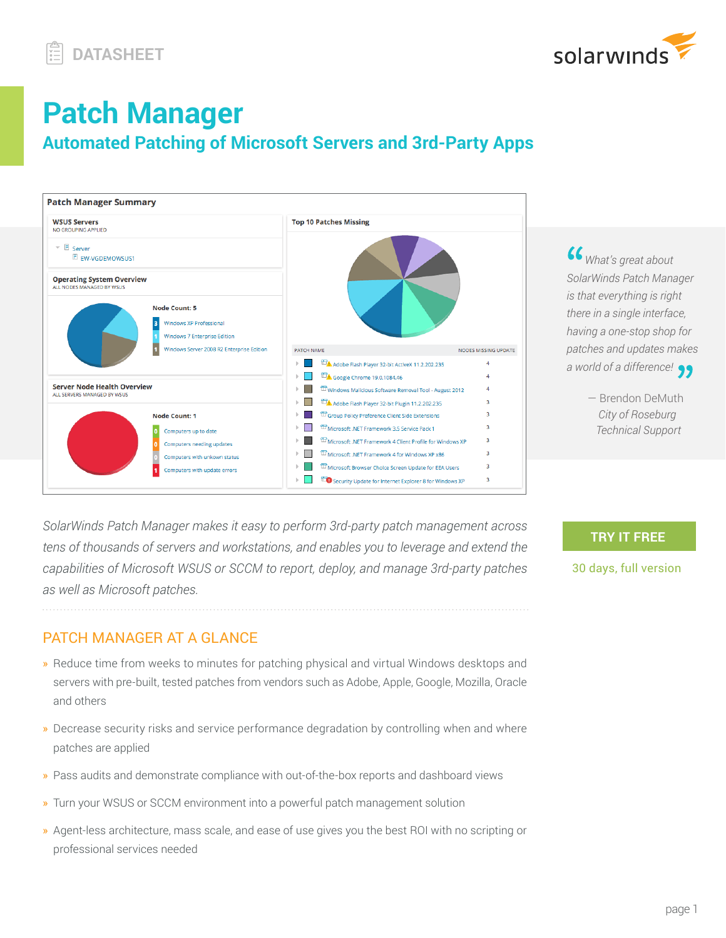

## **Patch Manager Automated Patching of Microsoft Servers and 3rd-Party Apps**



 *What's great about SolarWinds Patch Manager is that everything is right there in a single interface, having a one-stop shop for patches and updates makes a world of a difference!*

> — Brendon DeMuth  *City of Roseburg Technical Support*

**[TRY IT FREE](http://www.solarwinds.com/patch-manager/registration?program=1946&campaign=70150000000PKvC&CMP=OTC-WP-SWI-SW_WW_X_PP_X_LD_EN_SECOMP_SW-PM-X_DTASHT_X_X-X)**

30 days, full version

*SolarWinds Patch Manager makes it easy to perform 3rd-party patch management across tens of thousands of servers and workstations, and enables you to leverage and extend the capabilities of Microsoft WSUS or SCCM to report, deploy, and manage 3rd-party patches as well as Microsoft patches.*

## PATCH MANAGER AT A GLANCE

- » Reduce time from weeks to minutes for patching physical and virtual Windows desktops and servers with pre-built, tested patches from vendors such as Adobe, Apple, Google, Mozilla, Oracle and others
- » Decrease security risks and service performance degradation by controlling when and where patches are applied
- » Pass audits and demonstrate compliance with out-of-the-box reports and dashboard views
- » Turn your WSUS or SCCM environment into a powerful patch management solution
- » Agent-less architecture, mass scale, and ease of use gives you the best ROI with no scripting or professional services needed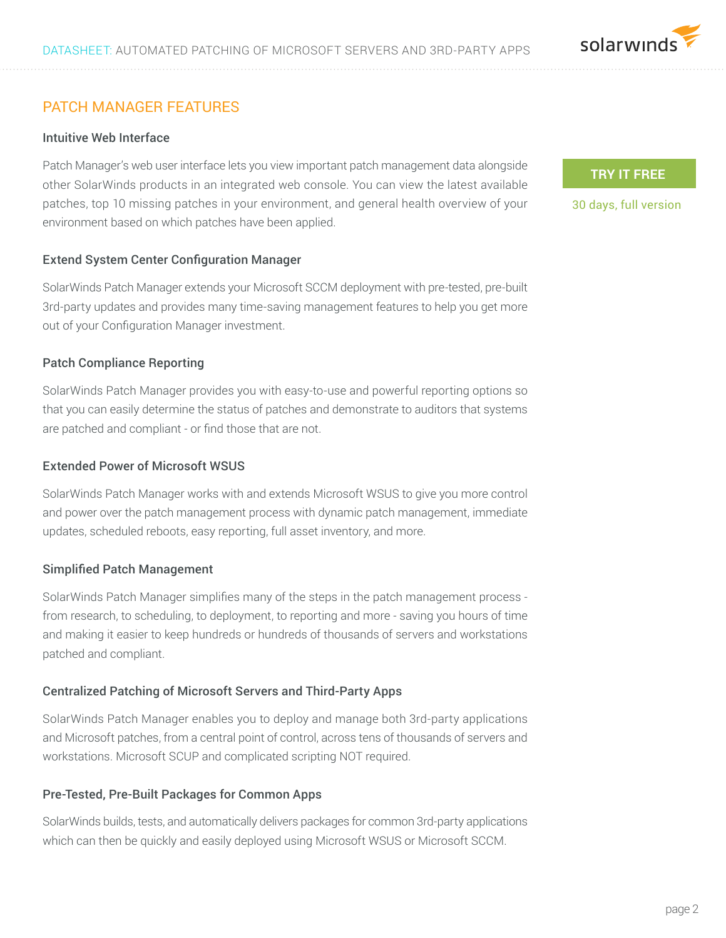

## PATCH MANAGER FEATURES

#### Intuitive Web Interface

Patch Manager's web user interface lets you view important patch management data alongside other SolarWinds products in an integrated web console. You can view the latest available patches, top 10 missing patches in your environment, and general health overview of your environment based on which patches have been applied.

#### Extend System Center Configuration Manager

SolarWinds Patch Manager extends your Microsoft SCCM deployment with pre-tested, pre-built 3rd-party updates and provides many time-saving management features to help you get more out of your Configuration Manager investment.

#### Patch Compliance Reporting

SolarWinds Patch Manager provides you with easy-to-use and powerful reporting options so that you can easily determine the status of patches and demonstrate to auditors that systems are patched and compliant - or find those that are not.

#### Extended Power of Microsoft WSUS

SolarWinds Patch Manager works with and extends Microsoft WSUS to give you more control and power over the patch management process with dynamic patch management, immediate updates, scheduled reboots, easy reporting, full asset inventory, and more.

#### Simplified Patch Management

SolarWinds Patch Manager simplifies many of the steps in the patch management process from research, to scheduling, to deployment, to reporting and more - saving you hours of time and making it easier to keep hundreds or hundreds of thousands of servers and workstations patched and compliant.

#### Centralized Patching of Microsoft Servers and Third-Party Apps

SolarWinds Patch Manager enables you to deploy and manage both 3rd-party applications and Microsoft patches, from a central point of control, across tens of thousands of servers and workstations. Microsoft SCUP and complicated scripting NOT required.

#### Pre-Tested, Pre-Built Packages for Common Apps

SolarWinds builds, tests, and automatically delivers packages for common 3rd-party applications which can then be quickly and easily deployed using Microsoft WSUS or Microsoft SCCM.

#### **[TRY IT FREE](http://www.solarwinds.com/patch-manager/registration?program=1946&campaign=70150000000PKvC&CMP=OTC-WP-SWI-SW_WW_X_PP_X_LD_EN_SECOMP_SW-PM-X_DTASHT_X_X-X)**

30 days, full version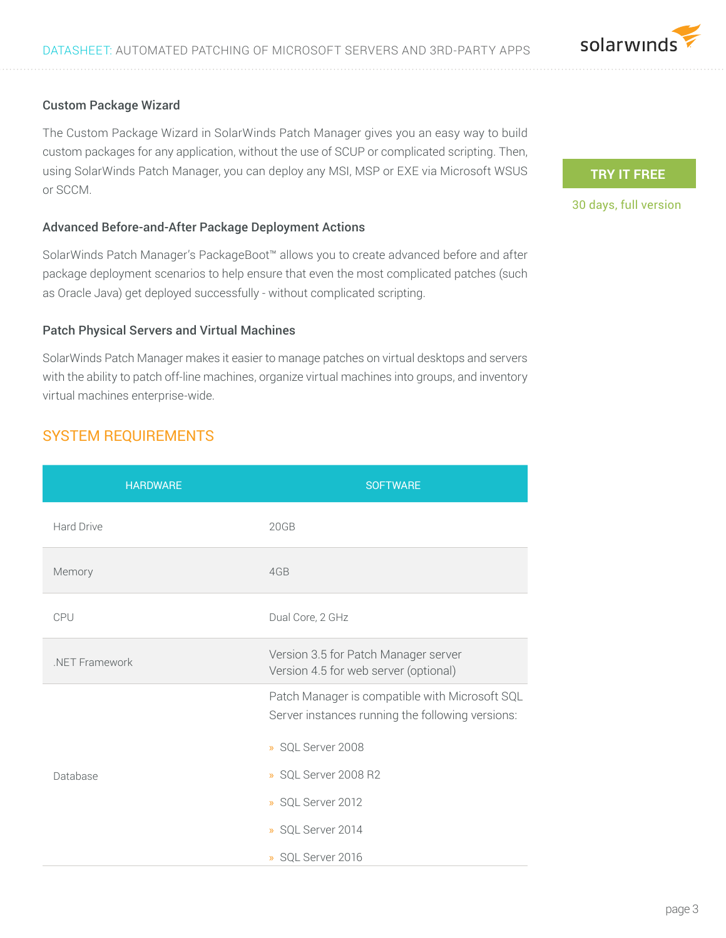

#### Custom Package Wizard

The Custom Package Wizard in SolarWinds Patch Manager gives you an easy way to build custom packages for any application, without the use of SCUP or complicated scripting. Then, using SolarWinds Patch Manager, you can deploy any MSI, MSP or EXE via Microsoft WSUS or SCCM.

#### Advanced Before-and-After Package Deployment Actions

SolarWinds Patch Manager's PackageBoot™ allows you to create advanced before and after package deployment scenarios to help ensure that even the most complicated patches (such as Oracle Java) get deployed successfully - without complicated scripting.

#### Patch Physical Servers and Virtual Machines

SolarWinds Patch Manager makes it easier to manage patches on virtual desktops and servers with the ability to patch off-line machines, organize virtual machines into groups, and inventory virtual machines enterprise-wide.

## SYSTEM REQUIREMENTS

| <b>HARDWARE</b> | <b>SOFTWARE</b>                                                                                    |  |
|-----------------|----------------------------------------------------------------------------------------------------|--|
| Hard Drive      | 20GB                                                                                               |  |
| Memory          | 4GB                                                                                                |  |
| CPU             | Dual Core, 2 GHz                                                                                   |  |
| NET Framework   | Version 3.5 for Patch Manager server<br>Version 4.5 for web server (optional)                      |  |
|                 | Patch Manager is compatible with Microsoft SQL<br>Server instances running the following versions: |  |
|                 | » SQL Server 2008                                                                                  |  |
| Database        | » SQL Server 2008 R2                                                                               |  |
|                 | » SQL Server 2012                                                                                  |  |
|                 | » SOL Server 2014                                                                                  |  |
|                 | » SOL Server 2016                                                                                  |  |

### **[TRY IT FREE](http://www.solarwinds.com/patch-manager/registration?program=1946&campaign=70150000000PKvC&CMP=OTC-WP-SWI-SW_WW_X_PP_X_LD_EN_SECOMP_SW-PM-X_DTASHT_X_X-X)**

#### 30 days, full version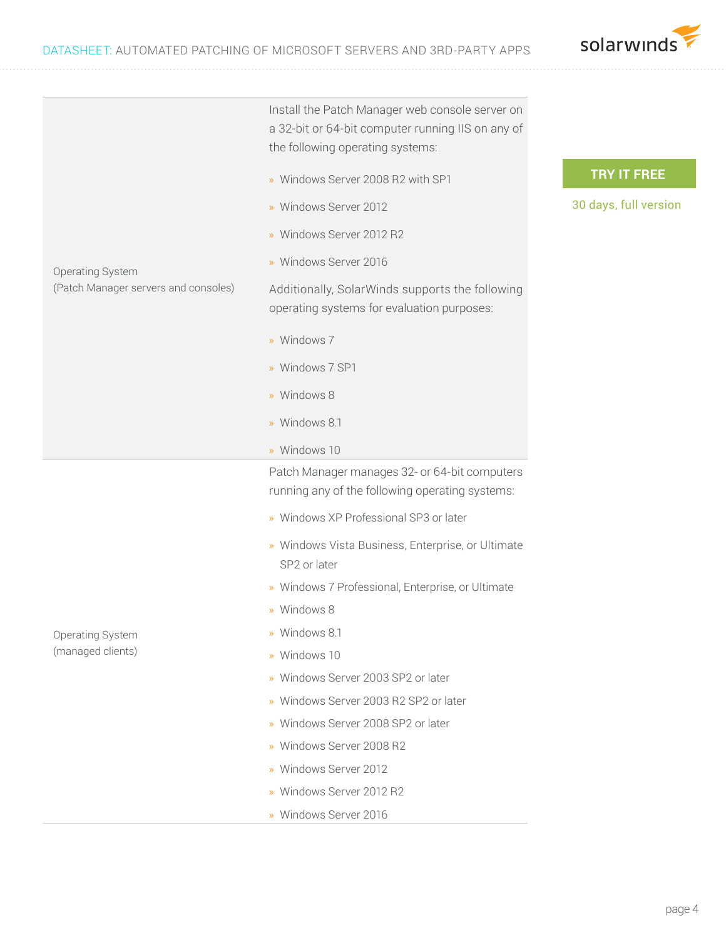

**[TRY IT FREE](http://www.solarwinds.com/patch-manager/registration?program=1946&campaign=70150000000PKvC&CMP=OTC-WP-SWI-SW_WW_X_PP_X_LD_EN_SECOMP_SW-PM-X_DTASHT_X_X-X)** 30 days, full version Operating System (Patch Manager servers and consoles) Install the Patch Manager web console server on a 32-bit or 64-bit computer running IIS on any of the following operating systems: » Windows Server 2008 R2 with SP1 » Windows Server 2012 » Windows Server 2012 R2 » Windows Server 2016 Additionally, SolarWinds supports the following operating systems for evaluation purposes: » Windows 7 » Windows 7 SP1 » Windows 8 » Windows 8.1 » Windows 10 Operating System (managed clients) Patch Manager manages 32- or 64-bit computers running any of the following operating systems: » Windows XP Professional SP3 or later » Windows Vista Business, Enterprise, or Ultimate SP2 or later » Windows 7 Professional, Enterprise, or Ultimate » Windows 8 » Windows 8.1 » Windows 10 » Windows Server 2003 SP2 or later » Windows Server 2003 R2 SP2 or later » Windows Server 2008 SP2 or later » Windows Server 2008 R2 » Windows Server 2012 » Windows Server 2012 R2

» Windows Server 2016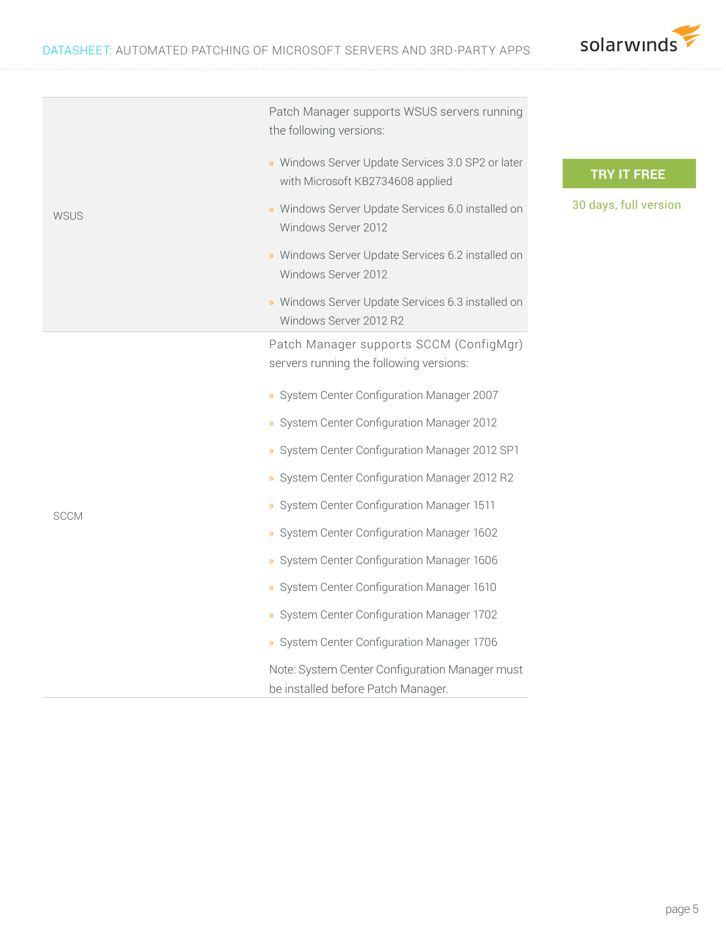

| <b>WSUS</b> | Patch Manager supports WSUS servers running<br>the following versions:                |
|-------------|---------------------------------------------------------------------------------------|
|             | » Windows Server Update Services 3.0 SP2 or later<br>with Microsoft KB2734608 applied |
|             | » Windows Server Update Services 6.0 installed on<br>Windows Server 2012              |
|             | » Windows Server Update Services 6.2 installed on<br>Windows Server 2012              |
|             | » Windows Server Update Services 6.3 installed on<br>Windows Server 2012 R2           |
| <b>SCCM</b> | Patch Manager supports SCCM (ConfigMgr)<br>servers running the following versions:    |
|             | » System Center Configuration Manager 2007                                            |
|             | » System Center Configuration Manager 2012                                            |
|             | » System Center Configuration Manager 2012 SP1                                        |
|             | » System Center Configuration Manager 2012 R2                                         |
|             | » System Center Configuration Manager 1511                                            |
|             | » System Center Configuration Manager 1602                                            |
|             | » System Center Configuration Manager 1606                                            |
|             | » System Center Configuration Manager 1610                                            |
|             | » System Center Configuration Manager 1702                                            |
|             | » System Center Configuration Manager 1706                                            |
|             | Note: System Center Configuration Manager must<br>be installed before Patch Manager.  |